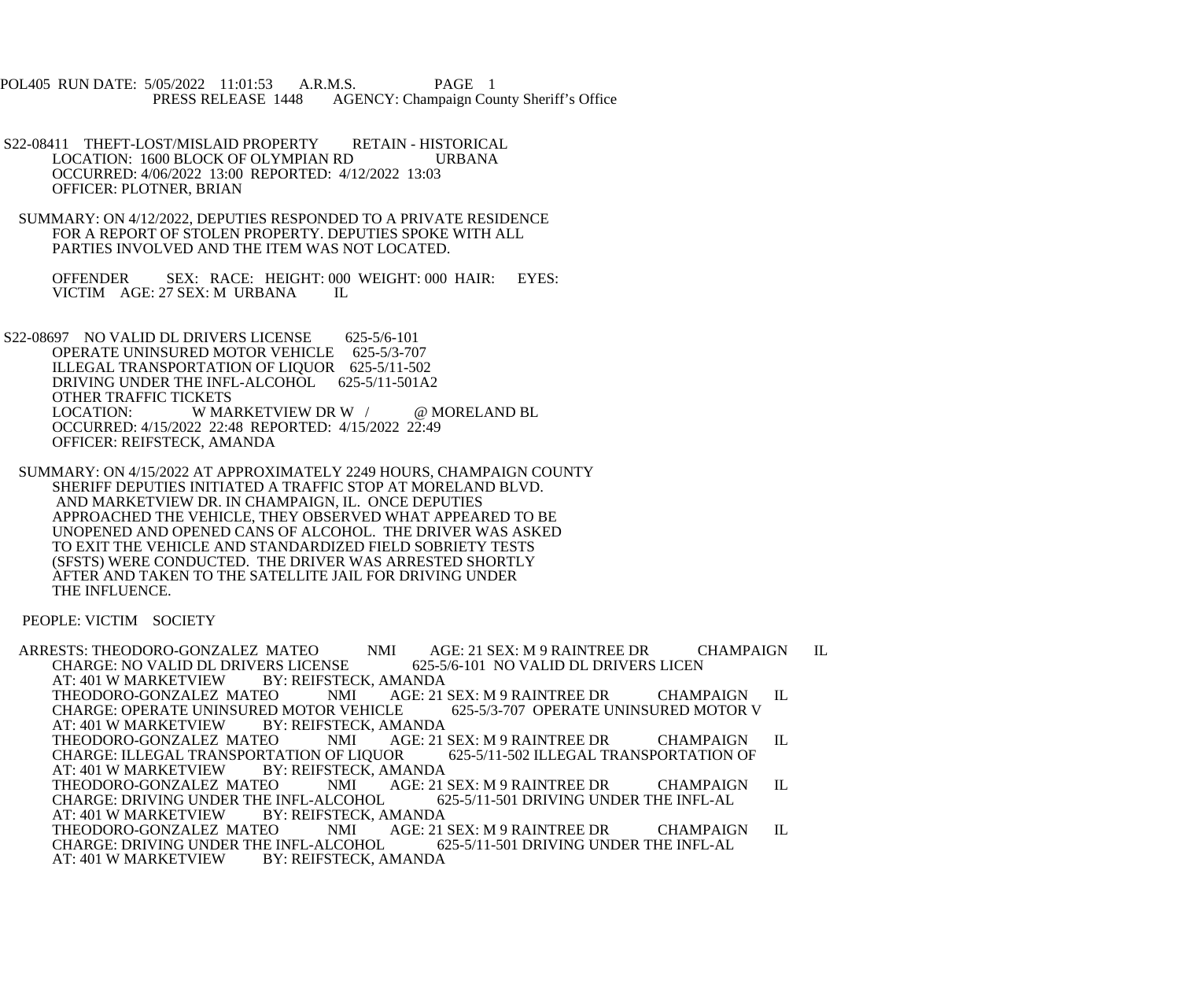POL405 RUN DATE: 5/05/2022 11:01:53 A.R.M.S. PAGE 1<br>PRESS RELEASE 1448 AGENCY: Champaign Cou AGENCY: Champaign County Sheriff's Office

S22-08411 THEFT-LOST/MISLAID PROPERTY RETAIN - HISTORICAL<br>LOCATION: 1600 BLOCK OF OLYMPIAN RD URBANA LOCATION: 1600 BLOCK OF OLYMPIAN RD OCCURRED: 4/06/2022 13:00 REPORTED: 4/12/2022 13:03 OFFICER: PLOTNER, BRIAN

 SUMMARY: ON 4/12/2022, DEPUTIES RESPONDED TO A PRIVATE RESIDENCE FOR A REPORT OF STOLEN PROPERTY. DEPUTIES SPOKE WITH ALL PARTIES INVOLVED AND THE ITEM WAS NOT LOCATED.

OFFENDER SEX: RACE: HEIGHT: 000 WEIGHT: 000 HAIR: EYES: VICTIM AGE: 27 SEX: M URBANA IL VICTIM AGE: 27 SEX: M URBANA

 S22-08697 NO VALID DL DRIVERS LICENSE 625-5/6-101 OPERATE UNINSURED MOTOR VEHICLE 625-5/3-707 ILLEGAL TRANSPORTATION OF LIQUOR 625-5/11-502<br>DRIVING UNDER THE INFL-ALCOHOL 625-5/11-501A2 DRIVING UNDER THE INFL-ALCOHOL OTHER TRAFFIC TICKETS<br>LOCATION: W MA W MARKETVIEW DR W / @ MORELAND BL OCCURRED: 4/15/2022 22:48 REPORTED: 4/15/2022 22:49 OFFICER: REIFSTECK, AMANDA

 SUMMARY: ON 4/15/2022 AT APPROXIMATELY 2249 HOURS, CHAMPAIGN COUNTY SHERIFF DEPUTIES INITIATED A TRAFFIC STOP AT MORELAND BLVD. AND MARKETVIEW DR. IN CHAMPAIGN, IL. ONCE DEPUTIES APPROACHED THE VEHICLE, THEY OBSERVED WHAT APPEARED TO BE UNOPENED AND OPENED CANS OF ALCOHOL. THE DRIVER WAS ASKED TO EXIT THE VEHICLE AND STANDARDIZED FIELD SOBRIETY TESTS (SFSTS) WERE CONDUCTED. THE DRIVER WAS ARRESTED SHORTLY AFTER AND TAKEN TO THE SATELLITE JAIL FOR DRIVING UNDER THE INFLUENCE.

PEOPLE: VICTIM SOCIETY

ARRESTS: THEODORO-GONZALEZ MATEO NMI AGE: 21 SEX: M 9 RAINTREE DR CHAMPAIGN IL<br>CHARGE: NO VALID DL DRIVERS LICENSE 625-5/6-101 NO VALID DL DRIVERS LICEN CHARGE: NO VALID DL DRIVERS LICENSE<br>AT: 401 W MARKETVIEW BY: REIFSTE BY: REIFSTECK, AMANDA<br>EO MMI AGE: 21 SEX: M 9 RAINTREE DR THEODORO-GONZALEZ MATEO NMI AGE: 21 SEX: M 9 RAINTREE DR CHAMPAIGN IL CHARGE: OPERATE UNINSURED MOTOR V CHARGE: OPERATE UNINSURED MOTOR VEHICLE<br>AT: 401 W MARKETVIEW BY: REIFSTECK, AM BY: REIFSTECK, AMANDA<br>EO MMI AGE: 21 SEX: M 9 RAINTREE DR THEODORO-GONZALEZ MATEO NMI AGE: 21 SEX: M 9 RAINTREE DR CHAMPAIGN IL CHARGE: ILLEGAL TRANSPORTATION OF CHARGE: ILLEGAL TRANSPORTATION OF LIQUOR AT: 401 W MARKETVIEW BY: REIFSTECK, AMANDA<br>THEODORO-GONZALEZ MATEO NMI AGE: 21 SEX: M 9 RAINTREE DR THEODORO-GONZALEZ MATEO NMI AGE: 21 SEX: M 9 RAINTREE DR CHAMPAIGN IL CHARGE: DRIVING UNDER THE INFL-AL CHARGE: DRIVING UNDER THE INFL-ALCOHOL<br>AT: 401 W MARKETVIEW BY: REIFSTECK, A BY: REIFSTECK, AMANDA<br>EO MMI AGE: 21 SEX: M 9 RAINTREE DR THEODORO-GONZALEZ MATEO NMI AGE: 21 SEX: M 9 RAINTREE DR CHAMPAIGN IL<br>CHARGE: DRIVING UNDER THE INFL-ALCOHOL 625-5/11-501 DRIVING UNDER THE INFL-AL CHARGE: DRIVING UNDER THE INFL-ALCOHOL<br>AT: 401 W MARKETVIEW BY: REIFSTECK, A BY: REIFSTECK, AMANDA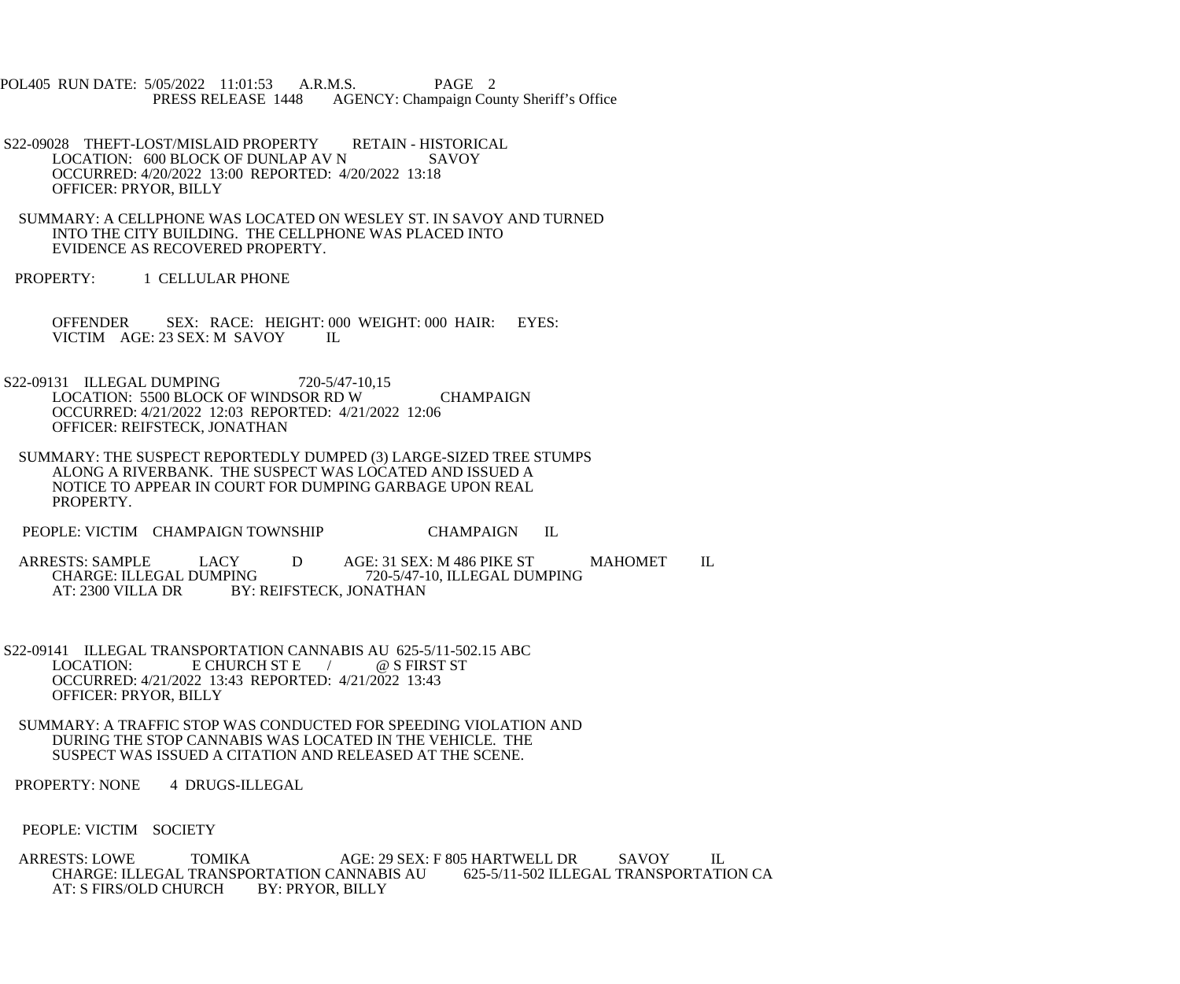POL405 RUN DATE: 5/05/2022 11:01:53 A.R.M.S. PAGE 2<br>PRESS RELEASE 1448 AGENCY: Champaign Cou AGENCY: Champaign County Sheriff's Office

- S22-09028 THEFT-LOST/MISLAID PROPERTY RETAIN HISTORICAL<br>LOCATION: 600 BLOCK OF DUNLAP AV N SAVOY LOCATION: 600 BLOCK OF DUNLAP AV N OCCURRED: 4/20/2022 13:00 REPORTED: 4/20/2022 13:18 OFFICER: PRYOR, BILLY
- SUMMARY: A CELLPHONE WAS LOCATED ON WESLEY ST. IN SAVOY AND TURNED INTO THE CITY BUILDING. THE CELLPHONE WAS PLACED INTO EVIDENCE AS RECOVERED PROPERTY.
- PROPERTY: 1 CELLULAR PHONE

 OFFENDER SEX: RACE: HEIGHT: 000 WEIGHT: 000 HAIR: EYES: VICTIM AGE: 23 SEX: M SAVOY IL

- S22-09131 ILLEGAL DUMPING 720-5/47-10,15 LOCATION: 5500 BLOCK OF WINDSOR RD W CHAMPAIGN OCCURRED: 4/21/2022 12:03 REPORTED: 4/21/2022 12:06 OFFICER: REIFSTECK, JONATHAN
- SUMMARY: THE SUSPECT REPORTEDLY DUMPED (3) LARGE-SIZED TREE STUMPS ALONG A RIVERBANK. THE SUSPECT WAS LOCATED AND ISSUED A NOTICE TO APPEAR IN COURT FOR DUMPING GARBAGE UPON REAL PROPERTY.
- PEOPLE: VICTIM CHAMPAIGN TOWNSHIP CHAMPAIGN IL
- ARRESTS: SAMPLE LACY D AGE: 31 SEX: M 486 PIKE ST MAHOMET IL<br>CHARGE: ILLEGAL DUMPING 720-5/47-10. ILLEGAL DUMPING CHARGE: ILLEGAL DUMPING<br>AT: 2300 VILLA DR BY: REIFSTECK, JONATHAN BY: REIFSTECK, JONATHAN
- S22-09141 ILLEGAL TRANSPORTATION CANNABIS AU 625-5/11-502.15 ABC<br>LOCATION: E CHURCH ST E / @ S FIRST ST  $E$  CHURCH ST E  $\qquad /$  OCCURRED: 4/21/2022 13:43 REPORTED: 4/21/2022 13:43 OFFICER: PRYOR, BILLY
- SUMMARY: A TRAFFIC STOP WAS CONDUCTED FOR SPEEDING VIOLATION AND DURING THE STOP CANNABIS WAS LOCATED IN THE VEHICLE. THE SUSPECT WAS ISSUED A CITATION AND RELEASED AT THE SCENE.
- PROPERTY: NONE 4 DRUGS-ILLEGAL
- PEOPLE: VICTIM SOCIETY
- ARRESTS: LOWE TOMIKA AGE: 29 SEX: F 805 HARTWELL DR SAVOY IL<br>CHARGE: ILLEGAL TRANSPORTATION CANNABIS AU 625-5/11-502 ILLEGAL TRANSPORTATION CA CHARGE: ILLEGAL TRANSPORTATION CANNABIS AU<br>AT: S FIRS/OLD CHURCH BY: PRYOR, BILLY AT: S FIRS/OLD CHURCH